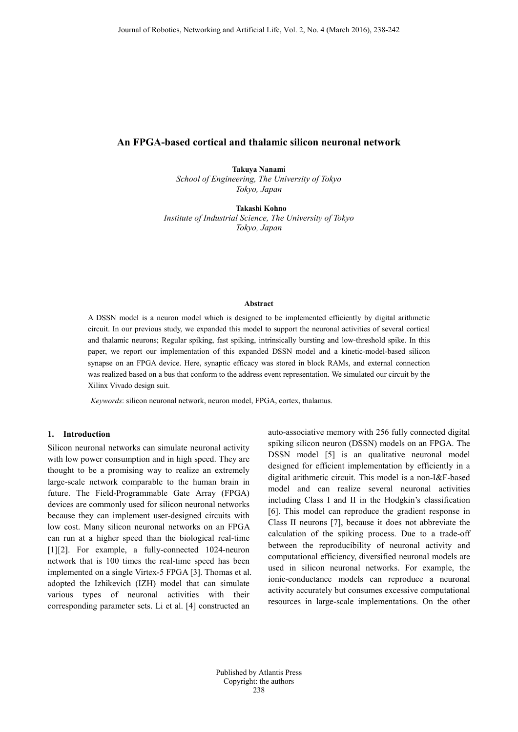# **An FPGA-based cortical and thalamic silicon neuronal network**

**Takuya Nanam**i *School of Engineering, The University of Tokyo Tokyo, Japan*

**Takashi Kohno** *Institute of Industrial Science, The University of Tokyo Tokyo, Japan*

## **Abstract**

A DSSN model is a neuron model which is designed to be implemented efficiently by digital arithmetic circuit. In our previous study, we expanded this model to support the neuronal activities of several cortical and thalamic neurons; Regular spiking, fast spiking, intrinsically bursting and low-threshold spike. In this paper, we report our implementation of this expanded DSSN model and a kinetic-model-based silicon synapse on an FPGA device. Here, synaptic efficacy was stored in block RAMs, and external connection was realized based on a bus that conform to the address event representation. We simulated our circuit by the Xilinx Vivado design suit.

*Keywords*: silicon neuronal network, neuron model, FPGA, cortex, thalamus.

## **1. Introduction**

Silicon neuronal networks can simulate neuronal activity with low power consumption and in high speed. They are thought to be a promising way to realize an extremely large-scale network comparable to the human brain in future. The Field-Programmable Gate Array (FPGA) devices are commonly used for silicon neuronal networks because they can implement user-designed circuits with low cost. Many silicon neuronal networks on an FPGA can run at a higher speed than the biological real-time [1][2]. For example, a fully-connected 1024-neuron network that is 100 times the real-time speed has been implemented on a single Virtex-5 FPGA [3]. Thomas et al. adopted the Izhikevich (IZH) model that can simulate various types of neuronal activities with their corresponding parameter sets. Li et al. [4] constructed an

auto-associative memory with 256 fully connected digital spiking silicon neuron (DSSN) models on an FPGA. The DSSN model [5] is an qualitative neuronal model designed for efficient implementation by efficiently in a digital arithmetic circuit. This model is a non-I&F-based model and can realize several neuronal activities including Class I and II in the Hodgkin's classification [6]. This model can reproduce the gradient response in Class II neurons [7], because it does not abbreviate the calculation of the spiking process. Due to a trade-off between the reproducibility of neuronal activity and computational efficiency, diversified neuronal models are used in silicon neuronal networks. For example, the ionic-conductance models can reproduce a neuronal activity accurately but consumes excessive computational resources in large-scale implementations. On the other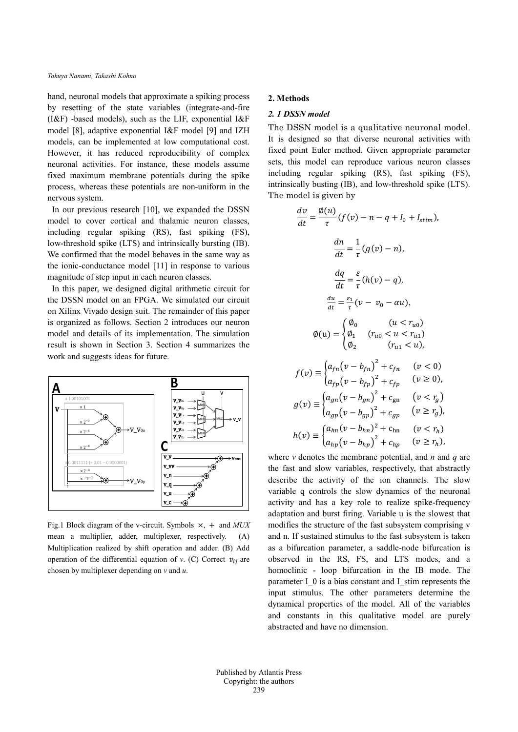hand, neuronal models that approximate a spiking process by resetting of the state variables (integrate-and-fire (I&F) -based models), such as the LIF, exponential I&F model [8], adaptive exponential I&F model [9] and IZH models, can be implemented at low computational cost. However, it has reduced reproducibility of complex neuronal activities. For instance, these models assume fixed maximum membrane potentials during the spike process, whereas these potentials are non-uniform in the nervous system.

In our previous research [10], we expanded the DSSN model to cover cortical and thalamic neuron classes, including regular spiking (RS), fast spiking (FS), low-threshold spike (LTS) and intrinsically bursting (IB). We confirmed that the model behaves in the same way as the ionic-conductance model [11] in response to various magnitude of step input in each neuron classes.

In this paper, we designed digital arithmetic circuit for the DSSN model on an FPGA. We simulated our circuit on Xilinx Vivado design suit. The remainder of this paper is organized as follows. Section 2 introduces our neuron model and details of its implementation. The simulation result is shown in Section 3. Section 4 summarizes the work and suggests ideas for future.



Fig.1 Block diagram of the v-circuit. Symbols ×, + and *MUX* mean a multiplier, adder, multiplexer, respectively. (A) Multiplication realized by shift operation and adder. (B) Add operation of the differential equation of *v*. (C) Correct  $v_{ij}$  are chosen by multiplexer depending on *v* and *u*.

#### **2. Methods**

## *2. 1 DSSN model*

The DSSN model is a qualitative neuronal model. It is designed so that diverse neuronal activities with fixed point Euler method. Given appropriate parameter sets, this model can reproduce various neuron classes including regular spiking (RS), fast spiking (FS), intrinsically busting (IB), and low-threshold spike (LTS). The model is given by

$$
\frac{dv}{dt} = \frac{\emptyset(u)}{\tau} (f(v) - n - q + I_0 + I_{stim}),
$$
\n
$$
\frac{dn}{dt} = \frac{1}{\tau} (g(v) - n),
$$
\n
$$
\frac{dq}{dt} = \frac{\varepsilon}{\tau} (h(v) - q),
$$
\n
$$
\frac{du}{dt} = \frac{\varepsilon_1}{\tau} (v - v_0 - au),
$$
\n
$$
\emptyset(u) = \begin{cases} \emptyset_0 & (u < r_{u0}) \\ \emptyset_1 & (r_{u0} < u < r_{u1}) \\ \emptyset_2 & (r_{u1} < u), \end{cases}
$$
\n
$$
f(v) \equiv \begin{cases} a_{fn} (v - b_{fn})^2 + c_{fn} & (v < 0) \\ a_{fp} (v - b_{fp})^2 + c_{fp} & (v \ge 0), \end{cases}
$$
\n
$$
g(v) \equiv \begin{cases} a_{gn} (v - b_{gn})^2 + c_{gn} & (v < r_g) \\ a_{gp} (v - b_{gp})^2 + c_{gp} & (v \ge r_g), \end{cases}
$$
\n
$$
h(v) \equiv \begin{cases} a_{hn} (v - b_{hn})^2 + c_{hn} & (v < r_h) \\ a_{hp} (v - b_{hp})^2 + c_{hp} & (v \ge r_h), \end{cases}
$$

where *v* denotes the membrane potential, and *n* and *q* are the fast and slow variables, respectively, that abstractly describe the activity of the ion channels. The slow variable q controls the slow dynamics of the neuronal activity and has a key role to realize spike-frequency adaptation and burst firing. Variable u is the slowest that modifies the structure of the fast subsystem comprising v and n. If sustained stimulus to the fast subsystem is taken as a bifurcation parameter, a saddle-node bifurcation is observed in the RS, FS, and LTS modes, and a homoclinic - loop bifurcation in the IB mode. The parameter  $I_0$  is a bias constant and  $I_1$  stim represents the input stimulus. The other parameters determine the dynamical properties of the model. All of the variables and constants in this qualitative model are purely abstracted and have no dimension.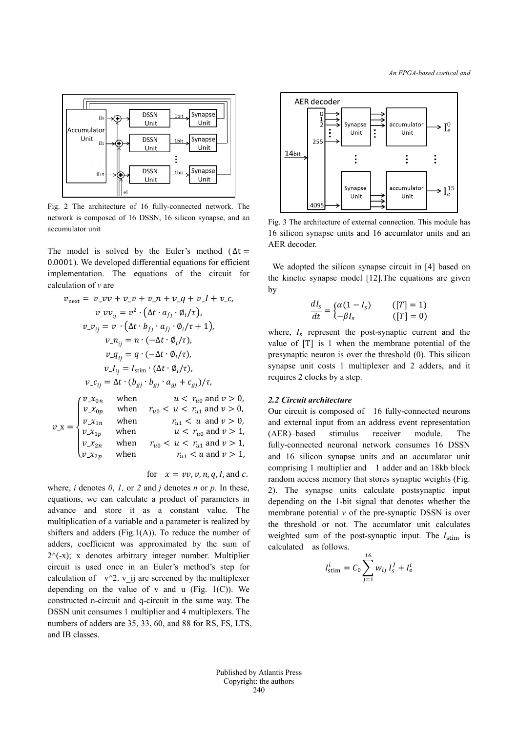

Fig. 2 The architecture of 16 fully-connected network. The network is composed of 16 DSSN, 16 silicon synapse, and an accumulator unit

The model is solved by the Euler's method ( $\Delta t =$ 0.0001). We developed differential equations for efficient implementation. The equations of the circuit for calculation of *v* are

$$
v_{\text{next}} = v_{\perp}vv + v_{\perp}v + v_{\perp}n + v_{-}q + v_{\perp}l + v_{\perp}c,
$$
  
\n
$$
v_{\perp}vv_{ij} = v^{2} \cdot (\Delta t \cdot a_{fj} \cdot \phi_{i}/\tau),
$$
  
\n
$$
v_{\perp}v_{ij} = v \cdot (\Delta t \cdot b_{fj} \cdot a_{fj} \cdot \phi_{i}/\tau + 1),
$$
  
\n
$$
v_{\perp}n_{ij} = n \cdot (-\Delta t \cdot \phi_{i}/\tau),
$$
  
\n
$$
v_{\perp}q_{ij} = q \cdot (-\Delta t \cdot \phi_{i}/\tau),
$$
  
\n
$$
v_{\perp}l_{ij} = l_{\text{stim}} \cdot (\Delta t \cdot \phi_{i}/\tau),
$$
  
\n
$$
v_{\perp}c_{ij} = \Delta t \cdot (b_{gj} \cdot b_{gj} \cdot a_{gj} + c_{gj})/\tau,
$$
  
\n
$$
\begin{cases} v_{\perp}x_{0n} & \text{when} & u < r_{u0} \text{ and } v > 0, \\ v_{\perp}x_{0n} & \text{when} & r_{u0} < u < r_{u1} \text{ and } v > 0. \end{cases}
$$

$$
v_{\perp}x = \begin{cases} v_{\perp}x_{0p} & \text{when } & r_{u0} < u < r_{u1} \text{ and } v > 0, \\ v_{\perp}x_{1n} & \text{when } & r_{u1} < u \text{ and } v > 0, \\ v_{\perp}x_{1p} & \text{when } & u < r_{u0} \text{ and } v > 1, \\ v_{\perp}x_{2n} & \text{when } & r_{u0} < u < r_{u1} \text{ and } v > 1, \\ v_{\perp}x_{2p} & \text{when } & r_{u1} < u \text{ and } v > 1, \end{cases}
$$

for  $x = v v$ ,  $v$ ,  $n$ ,  $q$ ,  $l$ , and  $c$ .

where, *i* denotes *0*, *1,* or *2* and *j* denotes *n* or *p.* In these, equations, we can calculate a product of parameters in advance and store it as a constant value. The multiplication of a variable and a parameter is realized by shifters and adders (Fig.1(A)). To reduce the number of adders, coefficient was approximated by the sum of  $2^{\wedge}$ (-x); x denotes arbitrary integer number. Multiplier circuit is used once in an Euler's method's step for calculation of  $v^2$ . v ij are screened by the multiplexer depending on the value of v and u (Fig.  $1(C)$ ). We constructed n-circuit and q-circuit in the same way. The DSSN unit consumes 1 multiplier and 4 multiplexers. The numbers of adders are 35, 33, 60, and 88 for RS, FS, LTS, and IB classes.



Fig. 3 The architecture of external connection. This module has 16 silicon synapse units and 16 accumlator units and an AER decoder.

We adopted the silicon synapse circuit in [4] based on the kinetic synapse model [12].The equations are given by

$$
\frac{dI_s}{dt} = \begin{cases} \alpha(1 - I_s) & ([T] = 1) \\ -\beta I_s & ([T] = 0) \end{cases}
$$

where,  $I_s$  represent the post-synaptic current and the value of [T] is 1 when the membrane potential of the presynaptic neuron is over the threshold (0). This silicon synapse unit costs 1 multiplexer and 2 adders, and it requires 2 clocks by a step.

## *2.2 Circuit architecture*

Our circuit is composed of 16 fully-connected neurons and external input from an address event representation (AER)–based stimulus receiver module. The fully-connected neuronal network consumes 16 DSSN and 16 silicon synapse units and an accumlator unit comprising 1 multiplier and 1 adder and an 18kb block random access memory that stores synaptic weights (Fig. 2). The synapse units calculate postsynaptic input depending on the 1-bit signal that denotes whether the membrane potential *v* of the pre-synaptic DSSN is over the threshold or not. The accumlator unit calculates weighted sum of the post-synaptic input. The  $I_{\text{stim}}$  is calculated as follows.

$$
I_{\text{stim}}^i = C_0 \sum_{j=1}^{16} w_{ij} I_s^j + I_e^i
$$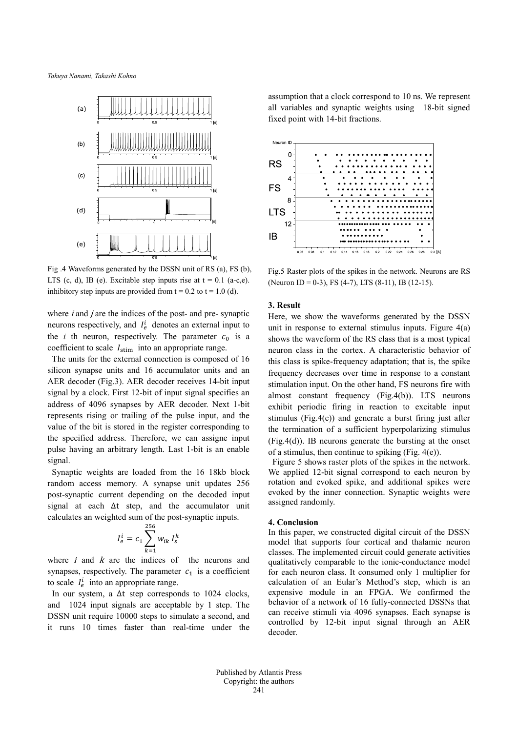*Takuya Nanami, Takashi Kohno*



Fig .4 Waveforms generated by the DSSN unit of RS (a), FS (b), LTS (c, d), IB (e). Excitable step inputs rise at  $t = 0.1$  (a-c,e). inhibitory step inputs are provided from  $t = 0.2$  to  $t = 1.0$  (d).

where  $i$  and  $j$  are the indices of the post- and pre- synaptic neurons respectively, and  $I_e^t$  denotes an external input to the  $i$  th neuron, respectively. The parameter  $c_0$  is a coefficient to scale  $I_{\text{stim}}$  into an appropriate range.

The units for the external connection is composed of 16 silicon synapse units and 16 accumulator units and an AER decoder (Fig.3). AER decoder receives 14-bit input signal by a clock. First 12-bit of input signal specifies an address of 4096 synapses by AER decoder. Next 1-bit represents rising or trailing of the pulse input, and the value of the bit is stored in the register corresponding to the specified address. Therefore, we can assigne input pulse having an arbitrary length. Last 1-bit is an enable signal.

Synaptic weights are loaded from the 16 18kb block random access memory. A synapse unit updates 256 post-synaptic current depending on the decoded input signal at each ∆t step, and the accumulator unit calculates an weighted sum of the post-synaptic inputs.

$$
I_e^i = c_1 \sum_{k=1}^{256} w_{ik} I_s^k
$$

where  $i$  and  $k$  are the indices of the neurons and synapses, respectively. The parameter  $c_1$  is a coefficient to scale  $I_e^t$  into an appropriate range.

In our system, a ∆t step corresponds to 1024 clocks, and 1024 input signals are acceptable by 1 step. The DSSN unit require 10000 steps to simulate a second, and it runs 10 times faster than real-time under the assumption that a clock correspond to 10 ns. We represent all variables and synaptic weights using 18-bit signed fixed point with 14-bit fractions.



Fig.5 Raster plots of the spikes in the network. Neurons are RS (Neuron ID = 0-3), FS (4-7), LTS (8-11), IB (12-15).

#### **3. Result**

Here, we show the waveforms generated by the DSSN unit in response to external stimulus inputs. Figure  $4(a)$ shows the waveform of the RS class that is a most typical neuron class in the cortex. A characteristic behavior of this class is spike-frequency adaptation; that is, the spike frequency decreases over time in response to a constant stimulation input. On the other hand, FS neurons fire with almost constant frequency (Fig.4(b)). LTS neurons exhibit periodic firing in reaction to excitable input stimulus (Fig.4(c)) and generate a burst firing just after the termination of a sufficient hyperpolarizing stimulus (Fig.4(d)). IB neurons generate the bursting at the onset of a stimulus, then continue to spiking (Fig. 4(e)).

Figure 5 shows raster plots of the spikes in the network. We applied 12-bit signal correspond to each neuron by rotation and evoked spike, and additional spikes were evoked by the inner connection. Synaptic weights were assigned randomly.

#### **4. Conclusion**

In this paper, we constructed digital circuit of the DSSN model that supports four cortical and thalamic neuron classes. The implemented circuit could generate activities qualitatively comparable to the ionic-conductance model for each neuron class. It consumed only 1 multiplier for calculation of an Eular's Method's step, which is an expensive module in an FPGA. We confirmed the behavior of a network of 16 fully-connected DSSNs that can receive stimuli via 4096 synapses. Each synapse is controlled by 12-bit input signal through an AER decoder.